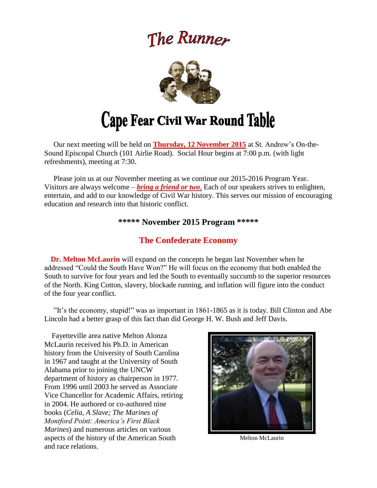# The Runner



## Cape Fear Civil War Round Table

 Our next meeting will be held on **Thursday, 12 November 2015** at St. Andrew's On-the-Sound Episcopal Church (101 Airlie Road). Social Hour begins at 7:00 p.m. (with light refreshments), meeting at 7:30.

 Please join us at our November meeting as we continue our 2015-2016 Program Year. Visitors are always welcome – *bring a friend or two*. Each of our speakers strives to enlighten, entertain, and add to our knowledge of Civil War history. This serves our mission of encouraging education and research into that historic conflict.

## **\*\*\*\*\* November 2015 Program \*\*\*\*\***

## **The Confederate Economy**

 **Dr. Melton McLaurin** will expand on the concepts he began last November when he addressed "Could the South Have Won?" He will focus on the economy that both enabled the South to survive for four years and led the South to eventually succumb to the superior resources of the North. King Cotton, slavery, blockade running, and inflation will figure into the conduct of the four year conflict.

 "It's the economy, stupid!" was as important in 1861-1865 as it is today. Bill Clinton and Abe Lincoln had a better grasp of this fact than did George H. W. Bush and Jeff Davis.

 Fayetteville area native Melton Alonza McLaurin received his Ph.D. in American history from the University of South Carolina in 1967 and taught at the University of South Alabama prior to joining the UNCW department of history as chairperson in 1977. From 1996 until 2003 he served as Associate Vice Chancellor for Academic Affairs, retiring in 2004. He authored or co-authored nine books (*Celia, A Slave; The Marines of Montford Point: America's First Black Marines*) and numerous articles on various aspects of the history of the American South and race relations.



Melton McLaurin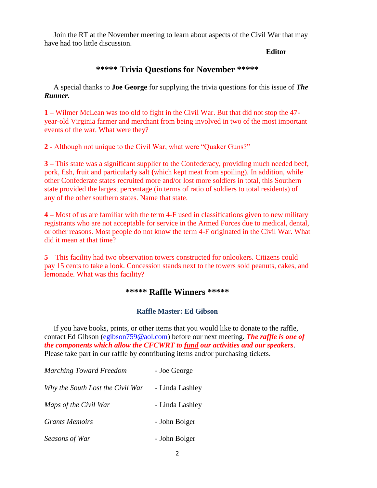Join the RT at the November meeting to learn about aspects of the Civil War that may have had too little discussion.

 **Editor**

## **\*\*\*\*\* Trivia Questions for November \*\*\*\*\***

A special thanks to **Joe George** for supplying the trivia questions for this issue of *The Runner.*

**1 –** Wilmer McLean was too old to fight in the Civil War. But that did not stop the 47 year-old Virginia farmer and merchant from being involved in two of the most important events of the war. What were they?

**2 -** Although not unique to the Civil War, what were "Quaker Guns?"

**3 –** This state was a significant supplier to the Confederacy, providing much needed beef, pork, fish, fruit and particularly salt **(**which kept meat from spoiling). In addition, while other Confederate states recruited more and/or lost more soldiers in total, this Southern state provided the largest percentage (in terms of ratio of soldiers to total residents) of any of the other southern states. Name that state.

**4 –** Most of us are familiar with the term 4-F used in classifications given to new military registrants who are not acceptable for service in the Armed Forces due to medical, dental, or other reasons. Most people do not know the term 4-F originated in the Civil War. What did it mean at that time?

**5 –** This facility had two observation towers constructed for onlookers. Citizens could pay 15 cents to take a look. Concession stands next to the towers sold peanuts, cakes, and lemonade. What was this facility?

#### **\*\*\*\*\* Raffle Winners \*\*\*\*\***

#### **Raffle Master: Ed Gibson**

If you have books, prints, or other items that you would like to donate to the raffle, contact Ed Gibson [\(egibson759@aol.com\)](mailto:egibson759@aol.com) before our next meeting. *The raffle is one of the components which allow the CFCWRT to fund our activities and our speakers*. Please take part in our raffle by contributing items and/or purchasing tickets.

| <b>Marching Toward Freedom</b>   | - Joe George    |
|----------------------------------|-----------------|
| Why the South Lost the Civil War | - Linda Lashley |
| Maps of the Civil War            | - Linda Lashley |
| <b>Grants Memoirs</b>            | - John Bolger   |
| Seasons of War                   | - John Bolger   |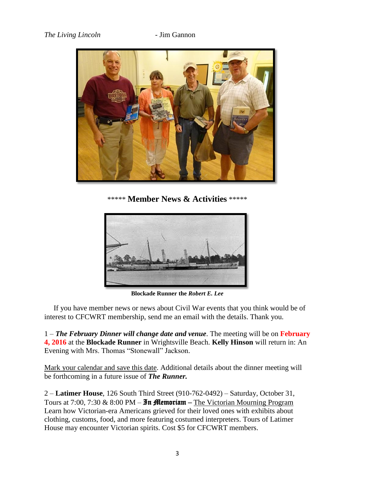

\*\*\*\*\* **Member News & Activities** \*\*\*\*\*



**Blockade Runner the** *Robert E. Lee*

 If you have member news or news about Civil War events that you think would be of interest to CFCWRT membership, send me an email with the details. Thank you.

1 – *The February Dinner will change date and venue*. The meeting will be on **February 4, 2016** at the **Blockade Runner** in Wrightsville Beach. **Kelly Hinson** will return in: An Evening with Mrs. Thomas "Stonewall" Jackson.

Mark your calendar and save this date. Additional details about the dinner meeting will be forthcoming in a future issue of *The Runner.*

2 – **Latimer House**, 126 South Third Street (910-762-0492) – Saturday, October 31, Tours at 7:00, 7:30 & 8:00 PM –  $\mathfrak{Im}$  **fflemoriam** – The Victorian Mourning Program Learn how Victorian-era Americans grieved for their loved ones with exhibits about clothing, customs, food, and more featuring costumed interpreters. Tours of Latimer House may encounter Victorian spirits. Cost \$5 for CFCWRT members.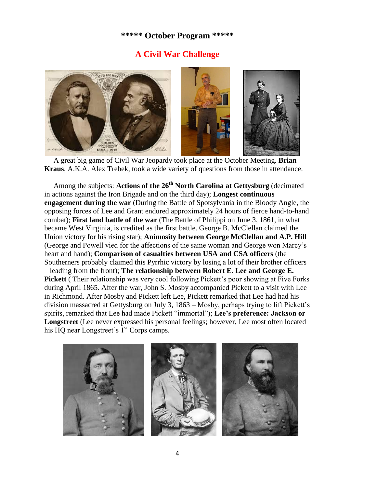### **\*\*\*\*\* October Program \*\*\*\*\***

## **A Civil War Challenge**



 A great big game of Civil War Jeopardy took place at the October Meeting. **Brian Kraus**, A.K.A. Alex Trebek, took a wide variety of questions from those in attendance.

 Among the subjects: **Actions of the 26th North Carolina at Gettysburg** (decimated in actions against the Iron Brigade and on the third day); **Longest continuous engagement during the war** (During the Battle of Spotsylvania in the Bloody Angle, the opposing forces of Lee and Grant endured approximately 24 hours of fierce hand-to-hand combat); **First land battle of the war** (The Battle of Philippi on June 3, 1861, in what became West Virginia, is credited as the first battle. George B. McClellan claimed the Union victory for his rising star); **Animosity between George McClellan and A.P. Hill** (George and Powell vied for the affections of the same woman and George won Marcy's heart and hand); **Comparison of casualties between USA and CSA officers** (the Southerners probably claimed this Pyrrhic victory by losing a lot of their brother officers – leading from the front); **The relationship between Robert E. Lee and George E. Pickett** ( Their relationship was very cool following Pickett's poor showing at Five Forks during April 1865. After the war, John S. Mosby accompanied Pickett to a visit with Lee in Richmond. After Mosby and Pickett left Lee, Pickett remarked that Lee had had his division massacred at Gettysburg on July 3, 1863 – Mosby, perhaps trying to lift Pickett's spirits, remarked that Lee had made Pickett "immortal"); **Lee's preference: Jackson or Longstreet** (Lee never expressed his personal feelings; however, Lee most often located his HQ near Longstreet's  $1<sup>st</sup>$  Corps camps.

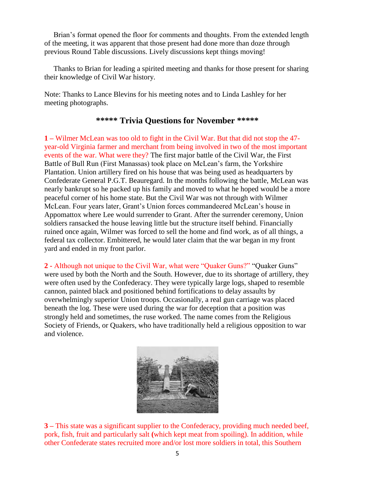Brian's format opened the floor for comments and thoughts. From the extended length of the meeting, it was apparent that those present had done more than doze through previous Round Table discussions. Lively discussions kept things moving!

 Thanks to Brian for leading a spirited meeting and thanks for those present for sharing their knowledge of Civil War history.

Note: Thanks to Lance Blevins for his meeting notes and to Linda Lashley for her meeting photographs.

## **\*\*\*\*\* Trivia Questions for November \*\*\*\*\***

**1 –** Wilmer McLean was too old to fight in the Civil War. But that did not stop the 47 year-old Virginia farmer and merchant from being involved in two of the most important events of the war. What were they? The first major battle of the Civil War, the First Battle of Bull Run (First Manassas) took place on McLean's farm, the Yorkshire Plantation. Union artillery fired on his house that was being used as headquarters by Confederate General P.G.T. Beauregard. In the months following the battle, McLean was nearly bankrupt so he packed up his family and moved to what he hoped would be a more peaceful corner of his home state. But the Civil War was not through with Wilmer McLean. Four years later, Grant's Union forces commandeered McLean's house in Appomattox where Lee would surrender to Grant. After the surrender ceremony, Union soldiers ransacked the house leaving little but the structure itself behind. Financially ruined once again, Wilmer was forced to sell the home and find work, as of all things, a federal tax collector. Embittered, he would later claim that the war began in my front yard and ended in my front parlor.

**2 -** Although not unique to the Civil War, what were "Quaker Guns?" "Quaker Guns" were used by both the North and the South. However, due to its shortage of artillery, they were often used by the Confederacy. They were typically large logs, shaped to resemble cannon, painted black and positioned behind fortifications to delay assaults by overwhelmingly superior Union troops. Occasionally, a real gun carriage was placed beneath the log. These were used during the war for deception that a position was strongly held and sometimes, the ruse worked. The name comes from the Religious Society of Friends, or Quakers, who have traditionally held a religious opposition to war and violence.



**3 –** This state was a significant supplier to the Confederacy, providing much needed beef, pork, fish, fruit and particularly salt **(**which kept meat from spoiling). In addition, while other Confederate states recruited more and/or lost more soldiers in total, this Southern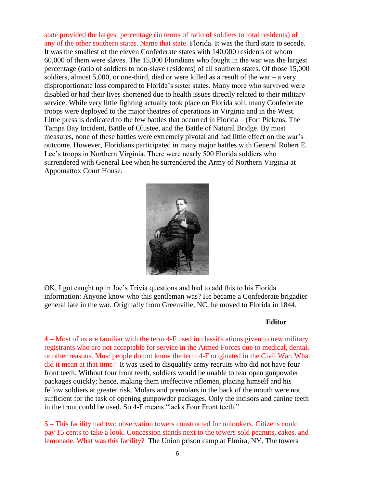state provided the largest percentage (in terms of ratio of soldiers to total residents) of any of the other southern states. Name that state. Florida. It was the third state to secede. It was the smallest of the eleven Confederate states with 140,000 residents of whom 60,000 of them were slaves. The 15,000 Floridians who fought in the war was the largest percentage (ratio of soldiers to non-slave residents) of all southern states. Of those 15,000 soldiers, almost  $5,000$ , or one-third, died or were killed as a result of the war – a very disproportionate loss compared to Florida's sister states. Many more who survived were disabled or had their lives shortened due to health issues directly related to their military service. While very little fighting actually took place on Florida soil, many Confederate troops were deployed to the major theatres of operations in Virginia and in the West. Little press is dedicated to the few battles that occurred in Florida – (Fort Pickens, The Tampa Bay Incident, Battle of Olustee, and the Battle of Natural Bridge. By most measures, none of these battles were extremely pivotal and had little effect on the war's outcome. However, Floridians participated in many major battles with General Robert E. Lee's troops in Northern Virginia. There were nearly 500 Florida soldiers who surrendered with General Lee when he surrendered the Army of Northern Virginia at Appomattox Court House.



OK, I got caught up in Joe's Trivia questions and had to add this to his Florida information: Anyone know who this gentleman was? He became a Confederate brigadier general late in the war. Originally from Greenville, NC, he moved to Florida in 1844.

#### **Editor**

**4 –** Most of us are familiar with the term 4-F used in classifications given to new military registrants who are not acceptable for service in the Armed Forces due to medical, dental, or other reasons. Most people do not know the term 4-F originated in the Civil War. What did it mean at that time? It was used to disqualify army recruits who did not have four front teeth. Without four front teeth, soldiers would be unable to tear open gunpowder packages quickly; hence, making them ineffective riflemen, placing himself and his fellow soldiers at greater risk. Molars and premolars in the back of the mouth were not sufficient for the task of opening gunpowder packages. Only the incisors and canine teeth in the front could be used. So 4-F means "lacks Four Front teeth."

**5 –** This facility had two observation towers constructed for onlookers. Citizens could pay 15 cents to take a look. Concession stands next to the towers sold peanuts, cakes, and lemonade. What was this facility? The Union prison camp at Elmira, NY. The towers